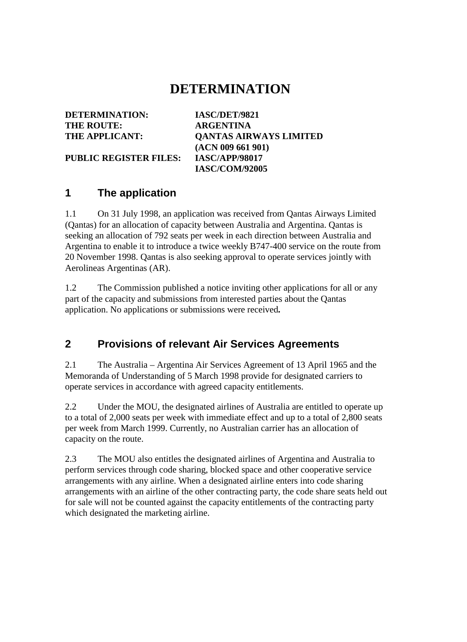## **DETERMINATION**

| IASC/DET/9821                 |
|-------------------------------|
| <b>ARGENTINA</b>              |
| <b>QANTAS AIRWAYS LIMITED</b> |
| (ACN 009 661 901)             |
| <b>IASC/APP/98017</b>         |
| <b>IASC/COM/92005</b>         |
|                               |

#### **1 The application**

1.1 On 31 July 1998, an application was received from Qantas Airways Limited (Qantas) for an allocation of capacity between Australia and Argentina. Qantas is seeking an allocation of 792 seats per week in each direction between Australia and Argentina to enable it to introduce a twice weekly B747-400 service on the route from 20 November 1998. Qantas is also seeking approval to operate services jointly with Aerolineas Argentinas (AR).

1.2 The Commission published a notice inviting other applications for all or any part of the capacity and submissions from interested parties about the Qantas application. No applications or submissions were received*.*

#### **2 Provisions of relevant Air Services Agreements**

2.1 The Australia – Argentina Air Services Agreement of 13 April 1965 and the Memoranda of Understanding of 5 March 1998 provide for designated carriers to operate services in accordance with agreed capacity entitlements.

2.2 Under the MOU, the designated airlines of Australia are entitled to operate up to a total of 2,000 seats per week with immediate effect and up to a total of 2,800 seats per week from March 1999. Currently, no Australian carrier has an allocation of capacity on the route.

2.3 The MOU also entitles the designated airlines of Argentina and Australia to perform services through code sharing, blocked space and other cooperative service arrangements with any airline. When a designated airline enters into code sharing arrangements with an airline of the other contracting party, the code share seats held out for sale will not be counted against the capacity entitlements of the contracting party which designated the marketing airline.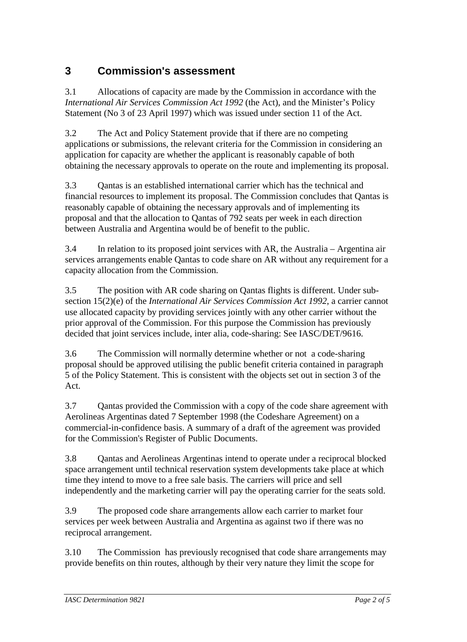#### **3 Commission's assessment**

3.1 Allocations of capacity are made by the Commission in accordance with the *International Air Services Commission Act 1992* (the Act), and the Minister's Policy Statement (No 3 of 23 April 1997) which was issued under section 11 of the Act.

3.2 The Act and Policy Statement provide that if there are no competing applications or submissions, the relevant criteria for the Commission in considering an application for capacity are whether the applicant is reasonably capable of both obtaining the necessary approvals to operate on the route and implementing its proposal.

3.3 Qantas is an established international carrier which has the technical and financial resources to implement its proposal. The Commission concludes that Qantas is reasonably capable of obtaining the necessary approvals and of implementing its proposal and that the allocation to Qantas of 792 seats per week in each direction between Australia and Argentina would be of benefit to the public.

3.4 In relation to its proposed joint services with AR, the Australia – Argentina air services arrangements enable Qantas to code share on AR without any requirement for a capacity allocation from the Commission.

3.5 The position with AR code sharing on Qantas flights is different. Under subsection 15(2)(e) of the *International Air Services Commission Act 1992*, a carrier cannot use allocated capacity by providing services jointly with any other carrier without the prior approval of the Commission. For this purpose the Commission has previously decided that joint services include, inter alia, code-sharing: See IASC/DET/9616.

3.6 The Commission will normally determine whether or not a code-sharing proposal should be approved utilising the public benefit criteria contained in paragraph 5 of the Policy Statement. This is consistent with the objects set out in section 3 of the Act.

3.7 Qantas provided the Commission with a copy of the code share agreement with Aerolineas Argentinas dated 7 September 1998 (the Codeshare Agreement) on a commercial-in-confidence basis. A summary of a draft of the agreement was provided for the Commission's Register of Public Documents.

3.8 Qantas and Aerolineas Argentinas intend to operate under a reciprocal blocked space arrangement until technical reservation system developments take place at which time they intend to move to a free sale basis. The carriers will price and sell independently and the marketing carrier will pay the operating carrier for the seats sold.

3.9 The proposed code share arrangements allow each carrier to market four services per week between Australia and Argentina as against two if there was no reciprocal arrangement.

3.10 The Commission has previously recognised that code share arrangements may provide benefits on thin routes, although by their very nature they limit the scope for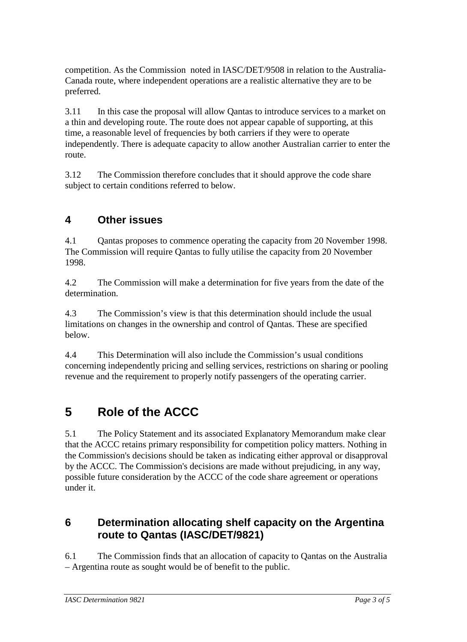competition. As the Commission noted in IASC/DET/9508 in relation to the Australia-Canada route, where independent operations are a realistic alternative they are to be preferred.

3.11 In this case the proposal will allow Qantas to introduce services to a market on a thin and developing route. The route does not appear capable of supporting, at this time, a reasonable level of frequencies by both carriers if they were to operate independently. There is adequate capacity to allow another Australian carrier to enter the route.

3.12 The Commission therefore concludes that it should approve the code share subject to certain conditions referred to below.

### **4 Other issues**

4.1 Qantas proposes to commence operating the capacity from 20 November 1998. The Commission will require Qantas to fully utilise the capacity from 20 November 1998.

4.2 The Commission will make a determination for five years from the date of the determination.

4.3 The Commission's view is that this determination should include the usual limitations on changes in the ownership and control of Qantas. These are specified below.

4.4 This Determination will also include the Commission's usual conditions concerning independently pricing and selling services, restrictions on sharing or pooling revenue and the requirement to properly notify passengers of the operating carrier.

# **5 Role of the ACCC**

5.1 The Policy Statement and its associated Explanatory Memorandum make clear that the ACCC retains primary responsibility for competition policy matters. Nothing in the Commission's decisions should be taken as indicating either approval or disapproval by the ACCC. The Commission's decisions are made without prejudicing, in any way, possible future consideration by the ACCC of the code share agreement or operations under it.

#### **6 Determination allocating shelf capacity on the Argentina route to Qantas (IASC/DET/9821)**

6.1 The Commission finds that an allocation of capacity to Qantas on the Australia – Argentina route as sought would be of benefit to the public.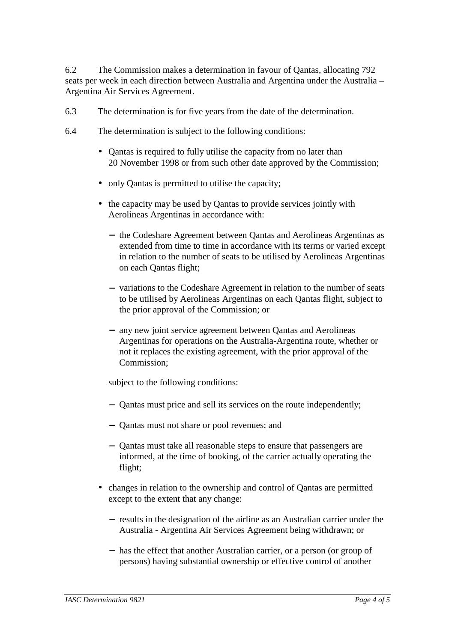6.2 The Commission makes a determination in favour of Qantas, allocating 792 seats per week in each direction between Australia and Argentina under the Australia – Argentina Air Services Agreement.

- 6.3 The determination is for five years from the date of the determination.
- 6.4 The determination is subject to the following conditions:
	- Qantas is required to fully utilise the capacity from no later than 20 November 1998 or from such other date approved by the Commission;
	- only Qantas is permitted to utilise the capacity;
	- the capacity may be used by Qantas to provide services jointly with Aerolineas Argentinas in accordance with:
		- − the Codeshare Agreement between Qantas and Aerolineas Argentinas as extended from time to time in accordance with its terms or varied except in relation to the number of seats to be utilised by Aerolineas Argentinas on each Qantas flight;
		- − variations to the Codeshare Agreement in relation to the number of seats to be utilised by Aerolineas Argentinas on each Qantas flight, subject to the prior approval of the Commission; or
		- − any new joint service agreement between Qantas and Aerolineas Argentinas for operations on the Australia-Argentina route, whether or not it replaces the existing agreement, with the prior approval of the Commission;

subject to the following conditions:

- − Qantas must price and sell its services on the route independently;
- − Qantas must not share or pool revenues; and
- − Qantas must take all reasonable steps to ensure that passengers are informed, at the time of booking, of the carrier actually operating the flight;
- changes in relation to the ownership and control of Qantas are permitted except to the extent that any change:
	- − results in the designation of the airline as an Australian carrier under the Australia - Argentina Air Services Agreement being withdrawn; or
	- − has the effect that another Australian carrier, or a person (or group of persons) having substantial ownership or effective control of another